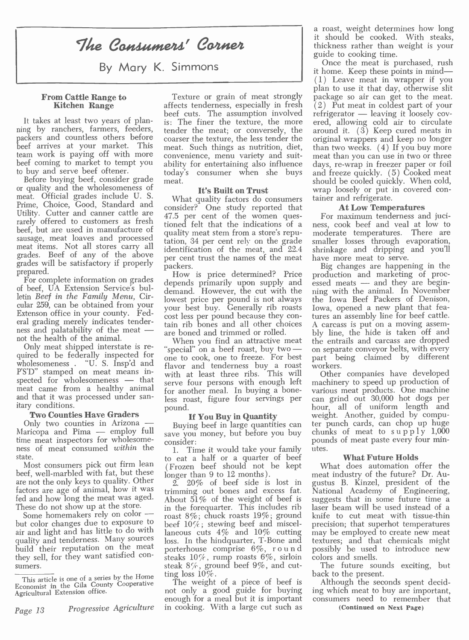# The Consumers' Corner

By Mary K. Simmons

It takes at least two years of plan-<br>
ning by ranchers, farmers, feeders,<br>
packers and countless others before beef arrives at your market. This team work is paying off with more<br>beef coming to market to tempt you ability for entertaining also influence<br>to buy and serve beef oftener.

Before buying beef, consider grade or quality and the wholesomeness of meat. Official grades include U. S. meat. Official grades include U. S. Prime, Choice, Good, Standard and Utility. Cutter and canner cattle are  $47.5_{\text{net}}$ Utility. Cutter and canner cattle are 47.5 per cent of the women ques-<br>rarely offered to customers as fresh tioned felt that the indications of a beef, but are used in manufacture of meat items. Not all stores carry all grades. Beef of any of the above grades will be satisfactory if properly packers. prepared.

For complete information on grades of beef, UA Extension Service's bulof beef, UA Extension Service's bul-<br>letin *Beef in the Family Menu*, Cir-<br>cular 259, can be obtained from your<br>lowest price per pound is not always<br>lowest price per pound is not always<br>cular 259, can be obtained from your Extenson office in your county. Fed-<br>eral grading merely indicates tenderness and palatability of the meat —<br>not the health of the animal.<br>Only meat shipped interstate is re-

Only meat shipped interstate is re-<br>quired to be federally inspected for one t wholesomeness . "U. S. Insp'd and  $\frac{1}{2}$  flavor and  $\frac{1}{2}$  PS'D" stamped on meat means in-<br>spected for wholesomeness — that serve four spected for wholesomeness — that<br>meat came from a healthy animal<br>and that it was processed under san-<br>less roast figure four servings per itary conditions.

Two Counties Have Graders<br>Only two counties in Arizona Only two counties in Arizona  $\frac{1}{\sqrt{1-\frac{1}{n}}}$  B<br>Maricopa and Pima  $\frac{1}{\sqrt{1-\frac{1}{n}}}$  employ full time meat inspectors for wholesome-<br>ness of meat consumed within the  $\begin{bmatrix} 1 & 0 \\ 1 & 1 \end{bmatrix}$ state.

Most consumers pick out firm lean beef, well-marbled with fat, but these are not the only keys to quality. Other factors are age of animal, how it was fed and how long the meat was aged.

but color changes due to exposure to air and light and has little to do with<br>quality and tenderness. Many sources build their reputation on the meat porterhouse comprise  $6\%$ , round they sell, for they want satisfied consumers.

Page 13 Progressive Agriculture in cooking. With a large cut such as

From Cattle Range to Texture or grain of meat strongly<br>Kitchen Range affects tenderness, especially in fresh<br>beef cuts. The assumption involved affects tenderness, especially in fresh  $\overline{(2)}$  Put meat in coldest part of your beef cuts. The assumption involved refrigerator — leaving it loosely covis: The finer the texture, the more tender the meat; or conversely, the coarser the texture, the less tender the meat. Such things as nutrition, diet, than two weeks. (4) If you buy more convenience, menu variety and suit- meat than you can use in two or three ability for entertaining also influence days, re-wrap in freezer paper or foil today's consumer when she buys meat.

**It's Built on Trust**<br>What quality factors do consumers  $\text{const}$  consider? One study reported that  $\text{At}$  Low Temperatures 47.5 per cent of the women ques- For maximum tenderness and jucitioned felt that the indications of a quality meat stem from a store's reputation, 34 per cent rely on the grade smaller losses through evaporation, identification of the meat, and 22.4 shrinkage and dripping<br>per cent trust the names of the meat have more meat to serve. per cent trust the names of the meat have more meat to serve.<br>packers.<br>Big changes are happening in the

depends primarily upon supply and lowest price per pound is not always the Iowa Beef Packers of Denison, your best buy. Generally rib roasts Iowa, opened a new plant that feacost less per pound because they contain rib bones and all other choices are boned and trimmed or rolled.

with at least three ribs. This will<br>serve four persons with enough left machinery to speed up production of for another meal. In buying a bone- various meat products. One machine less roast, figure four servings per pound.

save you money, but before you buy consider:

1. Time it would take your family to eat a half or a quarter of beef ( Frozen beef should not be kept longer than 9 to 12 months).

These do not show up at the store.<br>Some homemakers rely on color  $\frac{1}{100}$  roast 8%; chuck roasts 19%; ground 2. 20% of beef side is lost in trimming out bones and excess fat. Nation<br>About 51% of the weight of beef is sugges in the forequarter. This includes rib laser bea beef  $10\%$ ; stewing beef and miscel- precision; that superhot temperatures laneous cuts  $4\%$  and  $10\%$  cutting may be employed to create new meat laneous cuts 4% and 10% cutting loss. In the hindquarter, T-Bone and textures; and that chemicals might porterhouse comprise  $6\%$ , round possibly be used to introduce new steaks  $10\%$ , rump roasts  $6\%$ , sirloin steak  $8\%$ , ground beef  $9\%$ , and cut-

enough for a meal but it is important

a roast, weight determines how long it should be cooked. With steaks, thickness rather than weight is your

Texture or grain of meat strongly package so air can get to the meat.<br>fects tenderness, especially in fresh (2) Put meat in coldest part of your Once the meat is purchased, rush it home. Keep these points in mind-(1 ) Leave meat in wrapper if you plan to use it that day, otherwise slit ered, allowing cold air to circulate around it.  $(3)$  Keep cured meats in original wrappers and keep no longer than two weeks.  $(4)$  If you buy more and freeze quickly. ( 5) Cooked meat should be cooled quickly. When cold, wrap loosely or put in covered container and refrigerate.

At Low Temperatures<br>For maximum tenderness and juci-<br>ness, cook beef and veal at low to moderate temperatures. There are shrinkage and dripping and you'll

How is price determined? Price production and marketing of proc-<br>pends primarily upon supply and essed meats — and they are beginare boned and trimmed or rolled. By line, the hide is taken off and When you find an attractive meat the entrails and carcass are dropped "special" on a beef roast, buy two — on separate conveyor belts, with every one to c ning with the animal. In November the Iowa Beef Packers of Denison, tures an assembly line for beef cattle.<br>A carcass is put on a moving assemthe entrails and carcass are dropped on separate conveyor belts, with every part being claimed by different workers.

If You Buy in Quantity weight. Another, guided by compu-<br>Buying beef in large quantities can ter punch cards, can chop up huge<br>ve you money, but before you buy chunks of meat to supply 1,000 can grind out 30,000 hot dogs per hour, all of uniform length and weight. Another, guided by computer punch cards, can chop up huge pounds of meat paste every four minutes.

# What Future Holds

What does automation offer the meat industry of the future? Dr. Augustus B. Kinzel, president of the National Academy of Engineering, suggests that in some future time a laser beam will be used instead of a knife to cut meat with tissue -thin precision; that superhot temperatures textures; and that chemicals might colors and smells.

The future sounds exciting, but

ting loss 10%.<br>The weight of a piece of beef is a Although the seconds spent decid-<br>not only a good guide for buying ing which meat to buy are important,<br>enough for a meal but it is important consumers need to remember tha Although the seconds spent deciding which meat to buy are important,

(Continued on Next Page)

This article is one of a series by the Home ting loss  $10\%$ .<br>This article is one of a series by the Home ting loss  $10\%$ . **Economist in the Gila County Cooperative** Agricultural Extension office.